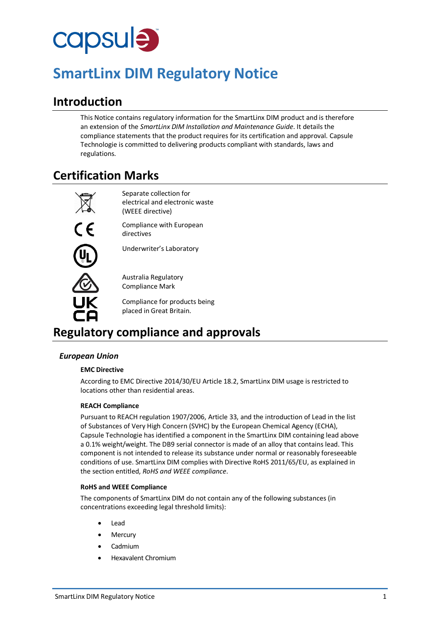# capsule

# **SmartLinx DIM Regulatory Notice**

## **Introduction**

This Notice contains regulatory information for the SmartLinx DIM product and is therefore an extension of the *SmartLinx DIM Installation and Maintenance Guide*. It details the compliance statements that the product requires for its certification and approval. Capsule Technologie is committed to delivering products compliant with standards, laws and regulations.

## **Certification Marks**

 $\overline{\mathbb{Q}}$ 

Separate collection for electrical and electronic waste (WEEE directive)

Compliance with European directives

Underwriter's Laboratory

Australia Regulatory Compliance Mark

Compliance for products being placed in Great Britain.

## **Regulatory compliance and approvals**

#### *European Union*

#### **EMC Directive**

According to EMC Directive 2014/30/EU Article 18.2, SmartLinx DIM usage is restricted to locations other than residential areas.

#### **REACH Compliance**

Pursuant to REACH regulation 1907/2006, Article 33, and the introduction of Lead in the list of Substances of Very High Concern (SVHC) by the European Chemical Agency (ECHA), Capsule Technologie has identified a component in the SmartLinx DIM containing lead above a 0.1% weight/weight. The DB9 serial connector is made of an alloy that contains lead. This component is not intended to release its substance under normal or reasonably foreseeable conditions of use. SmartLinx DIM complies with Directive RoHS 2011/65/EU, as explained in the section entitled, *RoHS and WEEE compliance*.

#### **RoHS and WEEE Compliance**

The components of SmartLinx DIM do not contain any of the following substances (in concentrations exceeding legal threshold limits):

- Lead
- **Mercury**
- Cadmium
- Hexavalent Chromium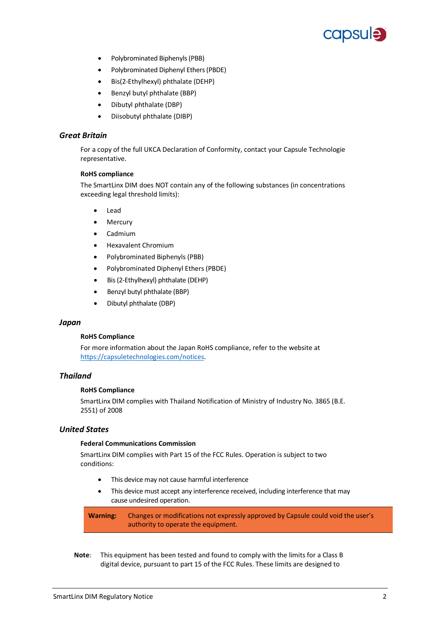

- Polybrominated Biphenyls (PBB)
- Polybrominated Diphenyl Ethers (PBDE)
- Bis(2-Ethylhexyl) phthalate (DEHP)
- Benzyl butyl phthalate (BBP)
- Dibutyl phthalate (DBP)
- Diisobutyl phthalate (DIBP)

#### *Great Britain*

For a copy of the full UKCA Declaration of Conformity, contact your Capsule Technologie representative.

#### **RoHS compliance**

The SmartLinx DIM does NOT contain any of the following substances (in concentrations exceeding legal threshold limits):

- Lead
- **Mercury**
- Cadmium
- Hexavalent Chromium
- Polybrominated Biphenyls (PBB)
- Polybrominated Diphenyl Ethers (PBDE)
- Bis(2-Ethylhexyl) phthalate (DEHP)
- Benzyl butyl phthalate (BBP)
- Dibutyl phthalate (DBP)

#### *Japan*

#### **RoHS Compliance**

For more information about the Japan RoHS compliance, refer to the website at [https://capsuletechnologies.com/notices.](https://capsuletechnologies.com/notices)

#### *Thailand*

#### **RoHS Compliance**

SmartLinx DIM complies with Thailand Notification of Ministry of Industry No. 3865 (B.E. 2551) of 2008

#### *United States*

#### **Federal Communications Commission**

SmartLinx DIM complies with Part 15 of the FCC Rules. Operation is subject to two conditions:

- This device may not cause harmful interference
- This device must accept any interference received, including interference that may cause undesired operation.

**Warning:** Changes or modifications not expressly approved by Capsule could void the user's authority to operate the equipment.

**Note**: This equipment has been tested and found to comply with the limits for a Class B digital device, pursuant to part 15 of the FCC Rules. These limits are designed to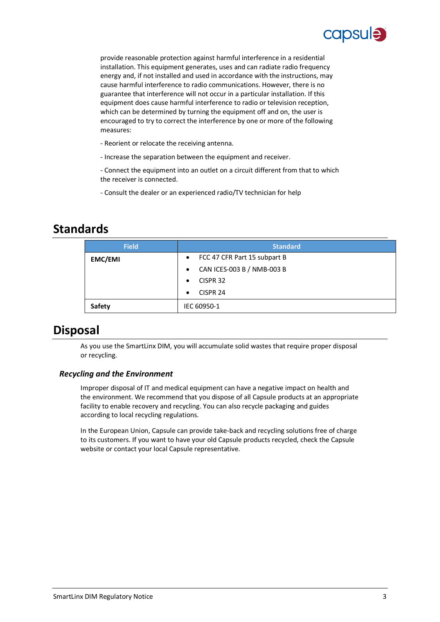

provide reasonable protection against harmful interference in a residential installation. This equipment generates, uses and can radiate radio frequency energy and, if not installed and used in accordance with the instructions, may cause harmful interference to radio communications. However, there is no guarantee that interference will not occur in a particular installation. If this equipment does cause harmful interference to radio or television reception, which can be determined by turning the equipment off and on, the user is encouraged to try to correct the interference by one or more of the following measures:

- Reorient or relocate the receiving antenna.
- Increase the separation between the equipment and receiver.

- Connect the equipment into an outlet on a circuit different from that to which the receiver is connected.

- Consult the dealer or an experienced radio/TV technician for help

### **Standards**

| <b>Field</b>   | <b>Standard</b>                         |
|----------------|-----------------------------------------|
| <b>EMC/EMI</b> | • FCC 47 CFR Part 15 subpart B          |
|                | CAN ICES-003 B / NMB-003 B<br>$\bullet$ |
|                | CISPR <sub>32</sub><br>$\bullet$        |
|                | CISPR <sub>24</sub><br>$\bullet$        |
| Safety         | IEC 60950-1                             |

## **Disposal**

As you use the SmartLinx DIM, you will accumulate solid wastes that require proper disposal or recycling.

#### *Recycling and the Environment*

Improper disposal of IT and medical equipment can have a negative impact on health and the environment. We recommend that you dispose of all Capsule products at an appropriate facility to enable recovery and recycling. You can also recycle packaging and guides according to local recycling regulations.

In the European Union, Capsule can provide take-back and recycling solutions free of charge to its customers. If you want to have your old Capsule products recycled, check the Capsule website or contact your local Capsule representative.